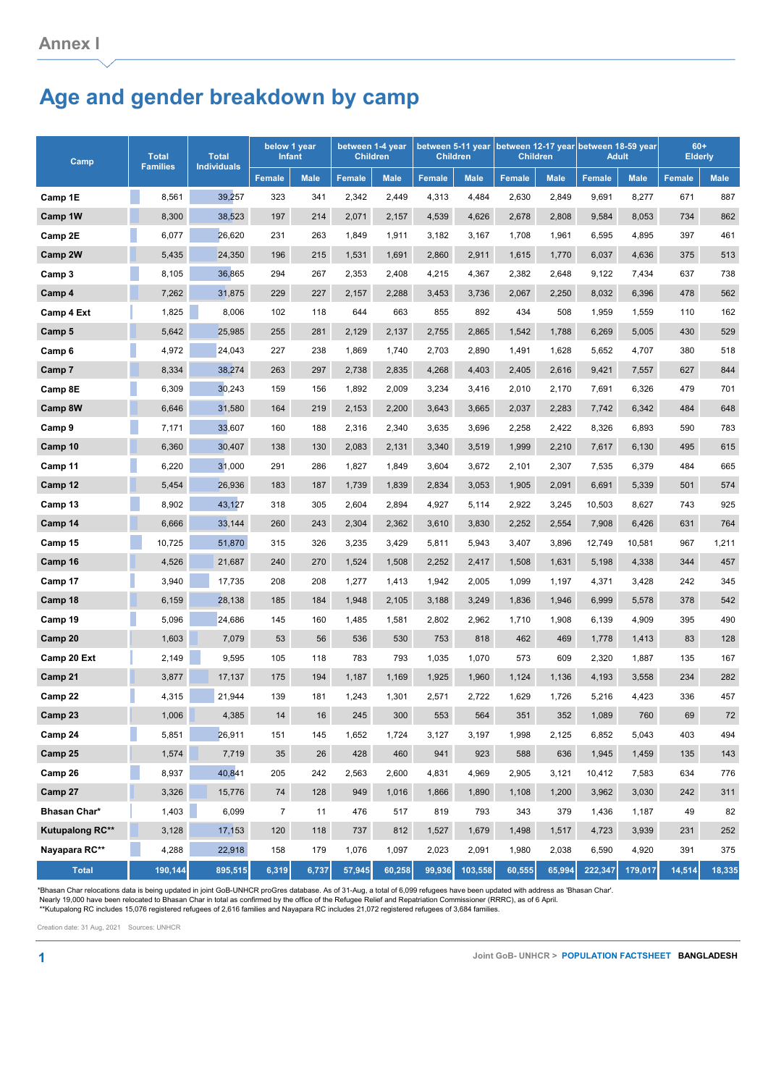## **Age and gender breakdown by camp**

| Camp            | <b>Total</b><br><b>Families</b> | <b>Total</b><br><b>Individuals</b> | below 1 year<br><b>Infant</b> |             | between 1-4 year<br><b>Children</b> |             | <b>Children</b> |             | <b>Children</b> |             | between 5-11 year between 12-17 year between 18-59 year<br><b>Adult</b> |             | $60+$<br><b>Elderly</b> |             |
|-----------------|---------------------------------|------------------------------------|-------------------------------|-------------|-------------------------------------|-------------|-----------------|-------------|-----------------|-------------|-------------------------------------------------------------------------|-------------|-------------------------|-------------|
|                 |                                 |                                    | <b>Female</b>                 | <b>Male</b> | <b>Female</b>                       | <b>Male</b> | <b>Female</b>   | <b>Male</b> | <b>Female</b>   | <b>Male</b> | Female                                                                  | <b>Male</b> | <b>Female</b>           | <b>Male</b> |
| Camp 1E         | 8,561                           | 39,257                             | 323                           | 341         | 2,342                               | 2,449       | 4,313           | 4,484       | 2,630           | 2,849       | 9,691                                                                   | 8,277       | 671                     | 887         |
| Camp 1W         | 8,300                           | 38,523                             | 197                           | 214         | 2,071                               | 2,157       | 4,539           | 4,626       | 2,678           | 2,808       | 9,584                                                                   | 8,053       | 734                     | 862         |
| Camp 2E         | 6,077                           | 26,620                             | 231                           | 263         | 1,849                               | 1,911       | 3,182           | 3,167       | 1,708           | 1,961       | 6,595                                                                   | 4,895       | 397                     | 461         |
| <b>Camp 2W</b>  | 5,435                           | 24,350                             | 196                           | 215         | 1,531                               | 1,691       | 2,860           | 2,911       | 1,615           | 1,770       | 6,037                                                                   | 4,636       | 375                     | 513         |
| Camp 3          | 8,105                           | 36,865                             | 294                           | 267         | 2,353                               | 2,408       | 4,215           | 4,367       | 2,382           | 2,648       | 9,122                                                                   | 7,434       | 637                     | 738         |
| Camp 4          | 7,262                           | 31,875                             | 229                           | 227         | 2,157                               | 2,288       | 3,453           | 3,736       | 2,067           | 2,250       | 8,032                                                                   | 6,396       | 478                     | 562         |
| Camp 4 Ext      | 1,825                           | 8,006                              | 102                           | 118         | 644                                 | 663         | 855             | 892         | 434             | 508         | 1,959                                                                   | 1,559       | 110                     | 162         |
| Camp 5          | 5,642                           | 25,985                             | 255                           | 281         | 2,129                               | 2,137       | 2,755           | 2,865       | 1,542           | 1,788       | 6,269                                                                   | 5,005       | 430                     | 529         |
| Camp 6          | 4,972                           | 24,043                             | 227                           | 238         | 1,869                               | 1,740       | 2,703           | 2,890       | 1,491           | 1,628       | 5,652                                                                   | 4,707       | 380                     | 518         |
| Camp 7          | 8,334                           | 38,274                             | 263                           | 297         | 2,738                               | 2,835       | 4,268           | 4,403       | 2,405           | 2,616       | 9,421                                                                   | 7,557       | 627                     | 844         |
| Camp 8E         | 6,309                           | 30,243                             | 159                           | 156         | 1,892                               | 2,009       | 3,234           | 3,416       | 2,010           | 2,170       | 7,691                                                                   | 6,326       | 479                     | 701         |
| Camp 8W         | 6,646                           | 31,580                             | 164                           | 219         | 2,153                               | 2,200       | 3,643           | 3,665       | 2,037           | 2,283       | 7,742                                                                   | 6,342       | 484                     | 648         |
| Camp 9          | 7,171                           | 33,607                             | 160                           | 188         | 2,316                               | 2,340       | 3,635           | 3,696       | 2,258           | 2,422       | 8,326                                                                   | 6,893       | 590                     | 783         |
| Camp 10         | 6,360                           | 30,407                             | 138                           | 130         | 2,083                               | 2,131       | 3,340           | 3,519       | 1,999           | 2,210       | 7,617                                                                   | 6,130       | 495                     | 615         |
| Camp 11         | 6,220                           | 31,000                             | 291                           | 286         | 1,827                               | 1,849       | 3,604           | 3,672       | 2,101           | 2,307       | 7,535                                                                   | 6,379       | 484                     | 665         |
| Camp 12         | 5,454                           | 26,936                             | 183                           | 187         | 1,739                               | 1,839       | 2,834           | 3,053       | 1,905           | 2,091       | 6,691                                                                   | 5,339       | 501                     | 574         |
| Camp 13         | 8,902                           | 43,127                             | 318                           | 305         | 2,604                               | 2,894       | 4,927           | 5,114       | 2,922           | 3,245       | 10,503                                                                  | 8,627       | 743                     | 925         |
| Camp 14         | 6,666                           | 33,144                             | 260                           | 243         | 2,304                               | 2,362       | 3,610           | 3,830       | 2,252           | 2,554       | 7,908                                                                   | 6,426       | 631                     | 764         |
| Camp 15         | 10,725                          | 51,870                             | 315                           | 326         | 3,235                               | 3,429       | 5,811           | 5,943       | 3,407           | 3,896       | 12,749                                                                  | 10,581      | 967                     | 1,211       |
| Camp 16         | 4,526                           | 21,687                             | 240                           | 270         | 1,524                               | 1,508       | 2,252           | 2,417       | 1,508           | 1,631       | 5,198                                                                   | 4,338       | 344                     | 457         |
| Camp 17         | 3,940                           | 17,735                             | 208                           | 208         | 1,277                               | 1,413       | 1,942           | 2,005       | 1,099           | 1,197       | 4,371                                                                   | 3,428       | 242                     | 345         |
| Camp 18         | 6,159                           | 28,138                             | 185                           | 184         | 1,948                               | 2,105       | 3,188           | 3,249       | 1,836           | 1,946       | 6,999                                                                   | 5,578       | 378                     | 542         |
| Camp 19         | 5,096                           | 24,686                             | 145                           | 160         | 1,485                               | 1,581       | 2,802           | 2,962       | 1,710           | 1,908       | 6,139                                                                   | 4,909       | 395                     | 490         |
| Camp 20         | 1,603                           | 7,079                              | 53                            | 56          | 536                                 | 530         | 753             | 818         | 462             | 469         | 1,778                                                                   | 1,413       | 83                      | 128         |
| Camp 20 Ext     | 2,149                           | 9,595                              | 105                           | 118         | 783                                 | 793         | 1,035           | 1,070       | 573             | 609         | 2,320                                                                   | 1,887       | 135                     | 167         |
| Camp 21         | 3,877                           | 17,137                             | 175                           | 194         | 1,187                               | 1,169       | 1,925           | 1,960       | 1,124           | 1,136       | 4,193                                                                   | 3,558       | 234                     | 282         |
| Camp 22         | 4,315                           | 21,944                             | 139                           | 181         | 1,243                               | 1,301       | 2,571           | 2,722       | 1,629           | 1,726       | 5,216                                                                   | 4,423       | 336                     | 457         |
| Camp 23         | 1,006                           | 4,385                              | 14                            | $16\,$      | 245                                 | 300         | 553             | 564         | 351             | 352         | 1,089                                                                   | 760         | 69                      | $72\,$      |
| Camp 24         | <b>Service Service</b><br>5,851 | 26,911                             | 151                           | 145         | 1,652                               | 1,724       | 3,127           | 3,197       | 1,998           | 2,125       | 6,852                                                                   | 5,043       | 403                     | 494         |
| Camp 25         | 1,574                           | 7,719                              | 35                            | 26          | 428                                 | 460         | 941             | 923         | 588             | 636         | 1,945                                                                   | 1,459       | 135                     | 143         |
| Camp 26         | 8,937                           | 40,841                             | 205                           | 242         | 2,563                               | 2,600       | 4,831           | 4,969       | 2,905           | 3,121       | 10,412                                                                  | 7,583       | 634                     | 776         |
| Camp 27         | 3,326                           | 15,776                             | 74                            | 128         | 949                                 | 1,016       | 1,866           | 1,890       | 1,108           | 1,200       | 3,962                                                                   | 3,030       | 242                     | 311         |
| Bhasan Char*    | 1,403                           | 6,099                              | $\overline{7}$                | 11          | 476                                 | 517         | 819             | 793         | 343             | 379         | 1,436                                                                   | 1,187       | 49                      | 82          |
| Kutupalong RC** | 3,128                           | 17,153                             | 120                           | 118         | 737                                 | 812         | 1,527           | 1,679       | 1,498           | 1,517       | 4,723                                                                   | 3,939       | 231                     | 252         |
| Nayapara RC**   | 4,288                           | 22,918                             | 158                           | 179         | 1,076                               | 1,097       | 2,023           | 2,091       | 1,980           | 2,038       | 6,590                                                                   | 4,920       | 391                     | 375         |
| <b>Total</b>    | 190,144                         | 895,515                            | 6,319                         | 6,737       | 57,945                              | 60,258      | 99,936          | 103,558     | 60,555          | 65,994      | 222,347                                                                 | 179,017     | 14,514                  | 18,335      |

\*Bhasan Char relocations data is being updated in joint GoB-UNHCR proGres database. As of 31-Aug, a total of 6,099 refugees have been updated with address as 'Bhasan Char'.<br>Nearly 19,000 have been relocated to Bhasan Char

Creation date: 31 Aug, 2021 Sources: UNHCR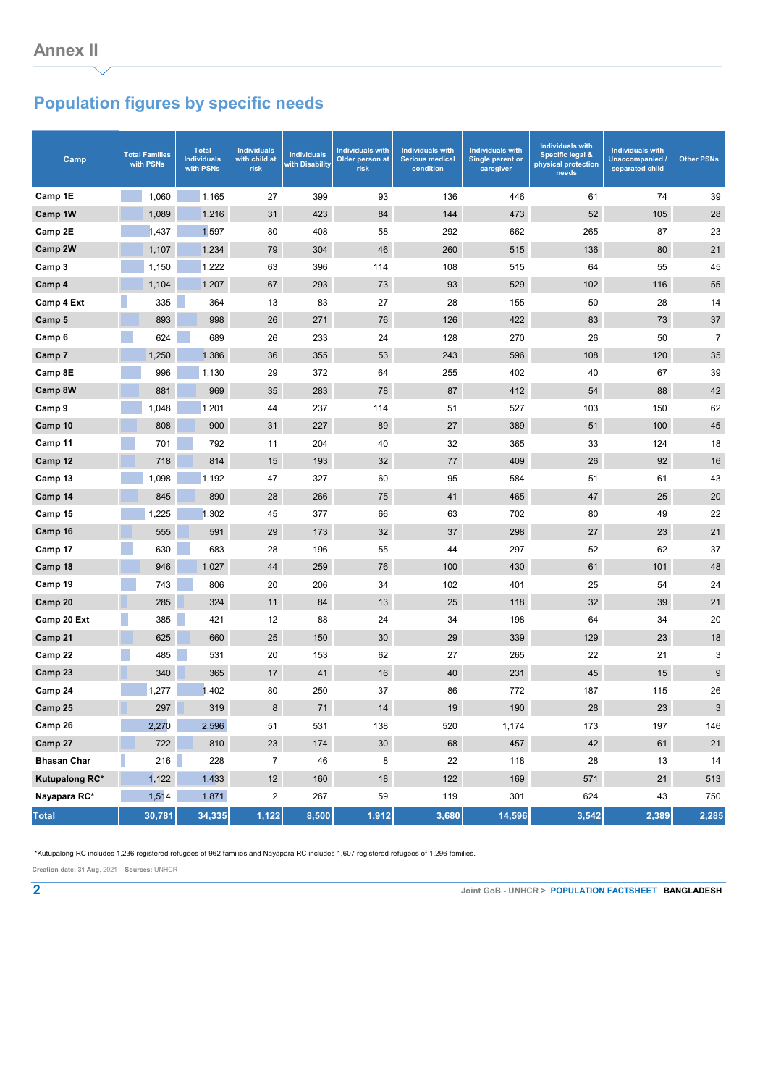## **Population figures by specific needs**

| Camp               | <b>Total Families</b><br>with PSNs | <b>Total</b><br><b>Individuals</b><br>with PSNs | <b>Individuals</b><br>with child at<br>risk | <b>Individuals</b><br>with Disability | <b>Individuals with</b><br>Older person at<br>risk | <b>Individuals with</b><br><b>Serious medical</b><br>condition | <b>Individuals with</b><br>Single parent or<br>caregiver | <b>Individuals with</b><br>Specific legal &<br>physical protection<br>needs | <b>Individuals with</b><br>Unaccompanied /<br>separated child | <b>Other PSNs</b> |
|--------------------|------------------------------------|-------------------------------------------------|---------------------------------------------|---------------------------------------|----------------------------------------------------|----------------------------------------------------------------|----------------------------------------------------------|-----------------------------------------------------------------------------|---------------------------------------------------------------|-------------------|
| Camp 1E            | 1,060                              | 1,165                                           | 27                                          | 399                                   | 93                                                 | 136                                                            | 446                                                      | 61                                                                          | 74                                                            | 39                |
| Camp 1W            | 1,089                              | 1,216                                           | 31                                          | 423                                   | 84                                                 | 144                                                            | 473                                                      | 52                                                                          | 105                                                           | 28                |
| Camp 2E            | 1,437                              | 1,597                                           | 80                                          | 408                                   | 58                                                 | 292                                                            | 662                                                      | 265                                                                         | 87                                                            | 23                |
| Camp 2W            | 1,107                              | 1,234                                           | 79                                          | 304                                   | 46                                                 | 260                                                            | 515                                                      | 136                                                                         | 80                                                            | 21                |
| Camp 3             | 1,150                              | 1,222                                           | 63                                          | 396                                   | 114                                                | 108                                                            | 515                                                      | 64                                                                          | 55                                                            | 45                |
| Camp 4             | 1,104                              | 1,207                                           | 67                                          | 293                                   | 73                                                 | 93                                                             | 529                                                      | 102                                                                         | 116                                                           | 55                |
| Camp 4 Ext         | 335                                | 364                                             | 13                                          | 83                                    | 27                                                 | 28                                                             | 155                                                      | 50                                                                          | 28                                                            | 14                |
| Camp 5             | 893                                | 998                                             | 26                                          | 271                                   | 76                                                 | 126                                                            | 422                                                      | 83                                                                          | 73                                                            | 37                |
| Camp <sub>6</sub>  | 624                                | 689                                             | 26                                          | 233                                   | 24                                                 | 128                                                            | 270                                                      | 26                                                                          | 50                                                            | $\overline{7}$    |
| Camp 7             | 1,250                              | 1,386                                           | 36                                          | 355                                   | 53                                                 | 243                                                            | 596                                                      | 108                                                                         | 120                                                           | 35                |
| Camp 8E            | 996                                | 1,130                                           | 29                                          | 372                                   | 64                                                 | 255                                                            | 402                                                      | 40                                                                          | 67                                                            | 39                |
| Camp 8W            | 881                                | 969                                             | 35                                          | 283                                   | 78                                                 | 87                                                             | 412                                                      | 54                                                                          | 88                                                            | 42                |
| Camp 9             | 1,048                              | 1,201                                           | 44                                          | 237                                   | 114                                                | 51                                                             | 527                                                      | 103                                                                         | 150                                                           | 62                |
| Camp 10            | 808                                | 900                                             | 31                                          | 227                                   | 89                                                 | 27                                                             | 389                                                      | 51                                                                          | 100                                                           | 45                |
| Camp 11            | 701                                | 792                                             | 11                                          | 204                                   | 40                                                 | 32                                                             | 365                                                      | 33                                                                          | 124                                                           | 18                |
| Camp 12            | 718                                | 814                                             | 15                                          | 193                                   | 32                                                 | 77                                                             | 409                                                      | 26                                                                          | 92                                                            | 16                |
| Camp 13            | 1,098                              | 1,192                                           | 47                                          | 327                                   | 60                                                 | 95                                                             | 584                                                      | 51                                                                          | 61                                                            | 43                |
| Camp 14            | 845                                | 890                                             | 28                                          | 266                                   | 75                                                 | 41                                                             | 465                                                      | 47                                                                          | 25                                                            | 20                |
| Camp 15            | 1,225                              | 1,302                                           | 45                                          | 377                                   | 66                                                 | 63                                                             | 702                                                      | 80                                                                          | 49                                                            | 22                |
| Camp 16            | 555                                | 591                                             | 29                                          | 173                                   | 32                                                 | 37                                                             | 298                                                      | 27                                                                          | 23                                                            | 21                |
| Camp 17            | 630                                | 683                                             | 28                                          | 196                                   | 55                                                 | 44                                                             | 297                                                      | 52                                                                          | 62                                                            | 37                |
| Camp 18            | 946                                | 1,027                                           | 44                                          | 259                                   | 76                                                 | 100                                                            | 430                                                      | 61                                                                          | 101                                                           | 48                |
| Camp 19            | 743                                | 806                                             | 20                                          | 206                                   | 34                                                 | 102                                                            | 401                                                      | 25                                                                          | 54                                                            | 24                |
| Camp 20            | 285                                | 324                                             | 11                                          | 84                                    | 13                                                 | 25                                                             | 118                                                      | 32                                                                          | 39                                                            | 21                |
| Camp 20 Ext        | 385                                | 421                                             | 12                                          | 88                                    | 24                                                 | 34                                                             | 198                                                      | 64                                                                          | 34                                                            | 20                |
| Camp 21            | 625                                | 660                                             | 25                                          | 150                                   | 30                                                 | 29                                                             | 339                                                      | 129                                                                         | 23                                                            | 18                |
| Camp 22            | 485                                | 531                                             | 20                                          | 153                                   | 62                                                 | 27                                                             | 265                                                      | 22                                                                          | 21                                                            | 3                 |
| Camp 23            | 340                                | 365                                             | $17$                                        | 41                                    | $16\,$                                             | 40                                                             | 231                                                      | 45                                                                          | 15                                                            | 9                 |
| Camp 24            | 1,277                              | 1,402                                           | 80                                          | 250                                   | 37                                                 | 86                                                             | 772                                                      | 187                                                                         | 115                                                           | 26                |
| Camp 25            | 297                                | 319                                             | 8                                           | $\bf 71$                              | $14\,$                                             | $19\,$                                                         | 190                                                      | ${\bf 28}$                                                                  | 23                                                            | $\mathbf{3}$      |
| Camp 26            | 2,270                              | 2,596                                           | 51                                          | 531                                   | 138                                                | 520                                                            | 1,174                                                    | 173                                                                         | 197                                                           | 146               |
| Camp 27            | 722                                | 810                                             | 23                                          | 174                                   | 30                                                 | 68                                                             | 457                                                      | 42                                                                          | 61                                                            | 21                |
| <b>Bhasan Char</b> | 216                                | 228                                             | $\overline{7}$                              | 46                                    | 8                                                  | 22                                                             | 118                                                      | 28                                                                          | 13                                                            | 14                |
| Kutupalong RC*     | 1,122                              | 1,433                                           | 12                                          | 160                                   | 18                                                 | 122                                                            | 169                                                      | 571                                                                         | 21                                                            | 513               |
| Nayapara RC*       | 1,514                              | 1,871                                           | $\overline{c}$                              | 267                                   | 59                                                 | 119                                                            | 301                                                      | 624                                                                         | 43                                                            | 750               |
| <b>Total</b>       | 30,781                             | 34,335                                          | 1,122                                       | 8,500                                 | 1,912                                              | 3,680                                                          | 14,596                                                   | 3,542                                                                       | 2,389                                                         | 2,285             |

\*Kutupalong RC includes 1,236 registered refugees of 962 families and Nayapara RC includes 1,607 registered refugees of 1,296 families.

**Creation date: 31 Aug**, 2021 **Sources:** UNHCR